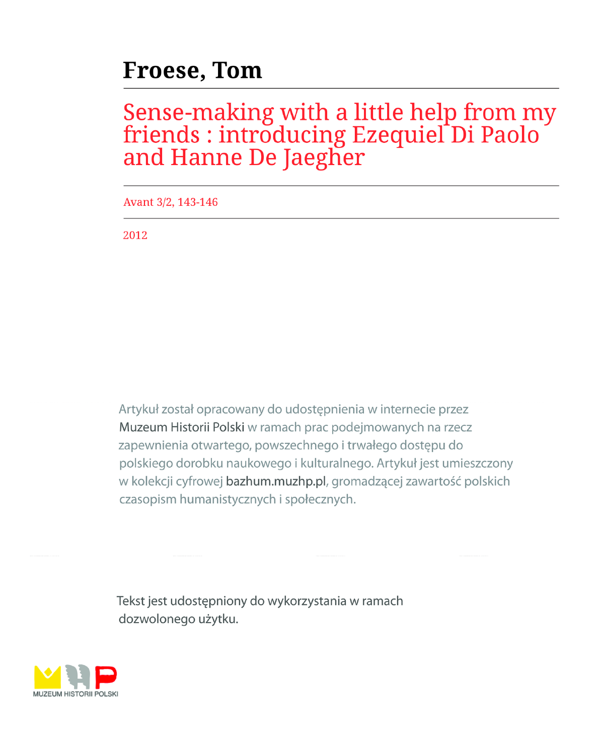## **Froese, Tom**

# Sense-making with a little help from my<br>friends : introducing Ezequiel Di Paolo<br>and Hanne De Jaegher

Avant 3/2, 143-146

2012

Artykuł został opracowany do udostępnienia w internecie przez Muzeum Historii Polski w ramach prac podejmowanych na rzecz zapewnienia otwartego, powszechnego i trwałego dostępu do polskiego dorobku naukowego i kulturalnego. Artykuł jest umieszczony w kolekcji cyfrowej bazhum.muzhp.pl, gromadzącej zawartość polskich czasopism humanistycznych i społecznych.

Tekst jest udostępniony do wykorzystania w ramach dozwolonego użytku.

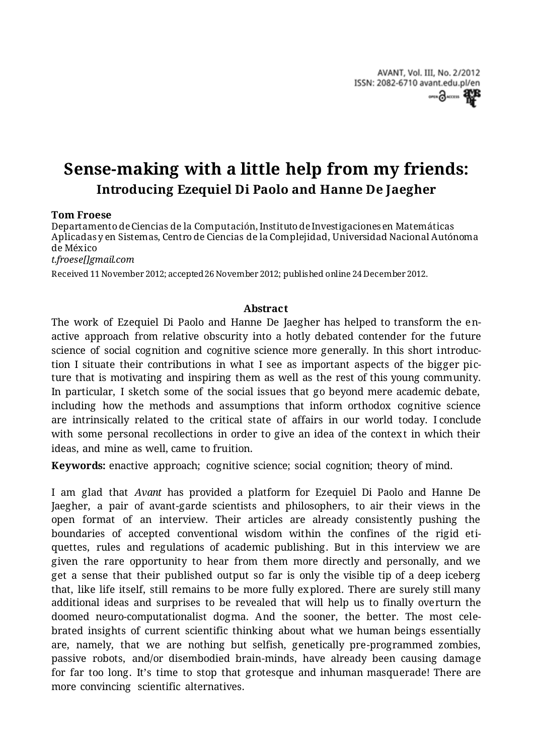AVANT, Vol. III, No. 2/2012 ISSN: 2082-6710 avant.edu.pl/en  $O(10^{-10})$ 

## **Sense-making with a little help from my friends: Introducing Ezequiel Di Paolo and Hanne De Jaegher**

### **Tom Froese**

Departamento de Ciencias de la Computación, Instituto de Investigaciones en Matemáticas Aplicadas y en Sistemas, Centro de Ciencias de la Complejidad, Universidad Nacional Autónoma de México

*t.froese[]gmail.com*

Received 11 November 2012; accepted 26 November 2012; published online 24 December 2012.

#### **Abstract**

The work of Ezequiel Di Paolo and Hanne De Jaegher has helped to transform the enactive approach from relative obscurity into a hotly debated contender for the future science of social cognition and cognitive science more generally. In this short introduction I situate their contributions in what I see as important aspects of the bigger picture that is motivating and inspiring them as well as the rest of this young community. In particular, I sketch some of the social issues that go beyond mere academic debate, including how the methods and assumptions that inform orthodox cognitive science are intrinsically related to the critical state of affairs in our world today. I conclude with some personal recollections in order to give an idea of the context in which their ideas, and mine as well, came to fruition.

**Keywords:** enactive approach; cognitive science; social cognition; theory of mind.

I am glad that *Avant* has provided a platform for Ezequiel Di Paolo and Hanne De Jaegher, a pair of avant-garde scientists and philosophers, to air their views in the open format of an interview. Their articles are already consistently pushing the boundaries of accepted conventional wisdom within the confines of the rigid etiquettes, rules and regulations of academic publishing. But in this interview we are given the rare opportunity to hear from them more directly and personally, and we get a sense that their published output so far is only the visible tip of a deep iceberg that, like life itself, still remains to be more fully explored. There are surely still many additional ideas and surprises to be revealed that will help us to finally overturn the doomed neuro-computationalist dogma. And the sooner, the better. The most celebrated insights of current scientific thinking about what we human beings essentially are, namely, that we are nothing but selfish, genetically pre-programmed zombies, passive robots, and/or disembodied brain-minds, have already been causing damage for far too long. It's time to stop that grotesque and inhuman masquerade! There are more convincing scientific alternatives.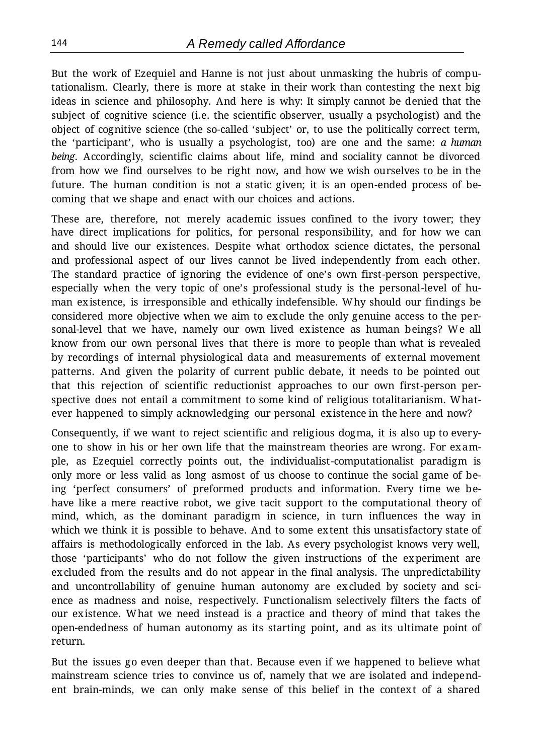But the work of Ezequiel and Hanne is not just about unmasking the hubris of computationalism. Clearly, there is more at stake in their work than contesting the next big ideas in science and philosophy. And here is why: It simply cannot be denied that the subject of cognitive science (i.e. the scientific observer, usually a psychologist) and the object of cognitive science (the so-called 'subject' or, to use the politically correct term, the 'participant', who is usually a psychologist, too) are one and the same: *a human being*. Accordingly, scientific claims about life, mind and sociality cannot be divorced from how we find ourselves to be right now, and how we wish ourselves to be in the future. The human condition is not a static given; it is an open-ended process of becoming that we shape and enact with our choices and actions.

These are, therefore, not merely academic issues confined to the ivory tower; they have direct implications for politics, for personal responsibility, and for how we can and should live our existences. Despite what orthodox science dictates, the personal and professional aspect of our lives cannot be lived independently from each other. The standard practice of ignoring the evidence of one's own first-person perspective, especially when the very topic of one's professional study is the personal-level of human existence, is irresponsible and ethically indefensible. Why should our findings be considered more objective when we aim to exclude the only genuine access to the personal-level that we have, namely our own lived existence as human beings? We all know from our own personal lives that there is more to people than what is revealed by recordings of internal physiological data and measurements of external movement patterns. And given the polarity of current public debate, it needs to be pointed out that this rejection of scientific reductionist approaches to our own first-person perspective does not entail a commitment to some kind of religious totalitarianism. Whatever happened to simply acknowledging our personal existence in the here and now?

Consequently, if we want to reject scientific and religious dogma, it is also up to everyone to show in his or her own life that the mainstream theories are wrong. For example, as Ezequiel correctly points out, the individualist-computationalist paradigm is only more or less valid as long asmost of us choose to continue the social game of being 'perfect consumers' of preformed products and information. Every time we behave like a mere reactive robot, we give tacit support to the computational theory of mind, which, as the dominant paradigm in science, in turn influences the way in which we think it is possible to behave. And to some extent this unsatisfactory state of affairs is methodologically enforced in the lab. As every psychologist knows very well, those 'participants' who do not follow the given instructions of the experiment are excluded from the results and do not appear in the final analysis. The unpredictability and uncontrollability of genuine human autonomy are excluded by society and science as madness and noise, respectively. Functionalism selectively filters the facts of our existence. What we need instead is a practice and theory of mind that takes the open-endedness of human autonomy as its starting point, and as its ultimate point of return.

But the issues go even deeper than that. Because even if we happened to believe what mainstream science tries to convince us of, namely that we are isolated and independent brain-minds, we can only make sense of this belief in the context of a shared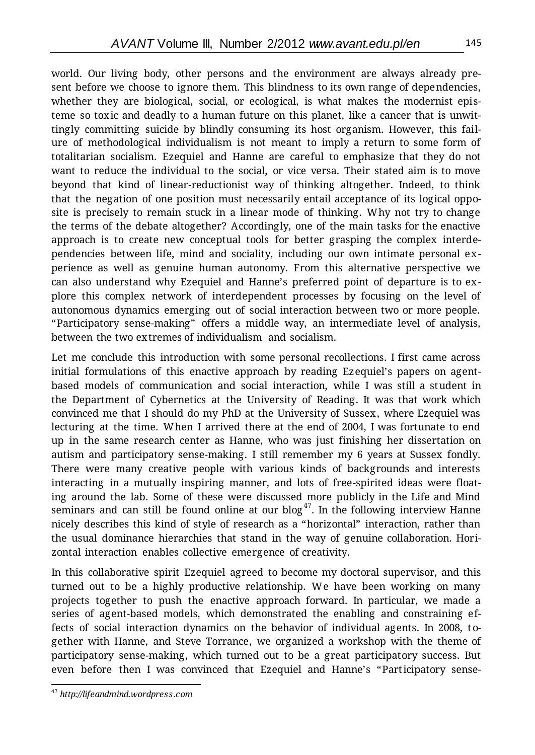world. Our living body, other persons and the environment are always already present before we choose to ignore them. This blindness to its own range of dependencies, whether they are biological, social, or ecological, is what makes the modernist episteme so toxic and deadly to a human future on this planet, like a cancer that is unwittingly committing suicide by blindly consuming its host organism. However, this failure of methodological individualism is not meant to imply a return to some form of totalitarian socialism. Ezequiel and Hanne are careful to emphasize that they do not want to reduce the individual to the social, or vice versa. Their stated aim is to move beyond that kind of linear-reductionist way of thinking altogether. Indeed, to think that the negation of one position must necessarily entail acceptance of its logical opposite is precisely to remain stuck in a linear mode of thinking. Why not try to change the terms of the debate altogether? Accordingly, one of the main tasks for the enactive approach is to create new conceptual tools for better grasping the complex interdependencies between life, mind and sociality, including our own intimate personal experience as well as genuine human autonomy. From this alternative perspective we can also understand why Ezequiel and Hanne's preferred point of departure is to explore this complex network of interdependent processes by focusing on the level of autonomous dynamics emerging out of social interaction between two or more people. "Participatory sense-making" offers a middle way, an intermediate level of analysis, between the two extremes of individualism and socialism.

Let me conclude this introduction with some personal recollections. I first came across initial formulations of this enactive approach by reading Ezequiel's papers on agentbased models of communication and social interaction, while I was still a student in the Department of Cybernetics at the University of Reading. It was that work which convinced me that I should do my PhD at the University of Sussex, where Ezequiel was lecturing at the time. When I arrived there at the end of 2004, I was fortunate to end up in the same research center as Hanne, who was just finishing her dissertation on autism and participatory sense-making. I still remember my 6 years at Sussex fondly. There were many creative people with various kinds of backgrounds and interests interacting in a mutually inspiring manner, and lots of free-spirited ideas were floating around the lab. Some of these were discussed more publicly in the Life and Mind seminars and can still be found online at our blog<sup>47</sup>. In the following interview Hanne nicely describes this kind of style of research as a "horizontal" interaction, rather than the usual dominance hierarchies that stand in the way of genuine collaboration. Horizontal interaction enables collective emergence of creativity.

In this collaborative spirit Ezequiel agreed to become my doctoral supervisor, and this turned out to be a highly productive relationship. We have been working on many projects together to push the enactive approach forward. In particular, we made a series of agent-based models, which demonstrated the enabling and constraining effects of social interaction dynamics on the behavior of individual agents. In 2008, together with Hanne, and Steve Torrance, we organized a workshop with the theme of participatory sense-making, which turned out to be a great participatory success. But even before then I was convinced that Ezequiel and Hanne's "Participatory sense-

 $\overline{a}$ <sup>47</sup> *[http://lifeandmind.wordpress.com](http://lifeandmind.wordpress.com/)*